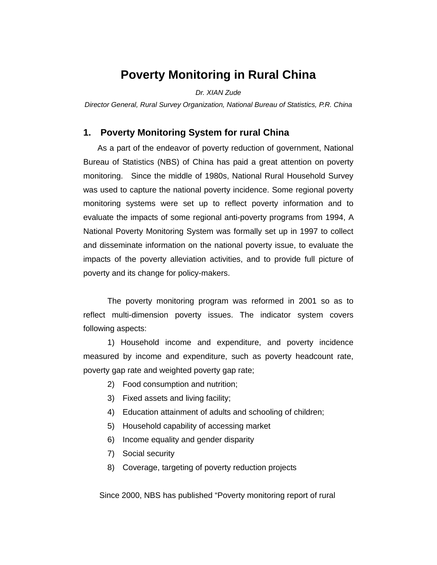# **Poverty Monitoring in Rural China**

### *Dr. XIAN Zude*

*Director General, Rural Survey Organization, National Bureau of Statistics, P.R. China* 

## **1. Poverty Monitoring System for rural China**

As a part of the endeavor of poverty reduction of government, National Bureau of Statistics (NBS) of China has paid a great attention on poverty monitoring. Since the middle of 1980s, National Rural Household Survey was used to capture the national poverty incidence. Some regional poverty monitoring systems were set up to reflect poverty information and to evaluate the impacts of some regional anti-poverty programs from 1994, A National Poverty Monitoring System was formally set up in 1997 to collect and disseminate information on the national poverty issue, to evaluate the impacts of the poverty alleviation activities, and to provide full picture of poverty and its change for policy-makers.

The poverty monitoring program was reformed in 2001 so as to reflect multi-dimension poverty issues. The indicator system covers following aspects:

1) Household income and expenditure, and poverty incidence measured by income and expenditure, such as poverty headcount rate, poverty gap rate and weighted poverty gap rate;

- 2) Food consumption and nutrition;
- 3) Fixed assets and living facility;
- 4) Education attainment of adults and schooling of children;
- 5) Household capability of accessing market
- 6) Income equality and gender disparity
- 7) Social security
- 8) Coverage, targeting of poverty reduction projects

Since 2000, NBS has published "Poverty monitoring report of rural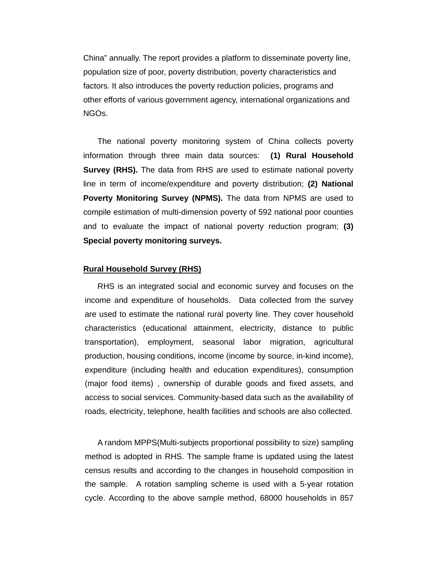China" annually. The report provides a platform to disseminate poverty line, population size of poor, poverty distribution, poverty characteristics and factors. It also introduces the poverty reduction policies, programs and other efforts of various government agency, international organizations and NGOs.

The national poverty monitoring system of China collects poverty information through three main data sources: **(1) Rural Household Survey (RHS).** The data from RHS are used to estimate national poverty line in term of income/expenditure and poverty distribution; **(2) National Poverty Monitoring Survey (NPMS).** The data from NPMS are used to compile estimation of multi-dimension poverty of 592 national poor counties and to evaluate the impact of national poverty reduction program; **(3) Special poverty monitoring surveys.**

#### **Rural Household Survey (RHS)**

RHS is an integrated social and economic survey and focuses on the income and expenditure of households. Data collected from the survey are used to estimate the national rural poverty line. They cover household characteristics (educational attainment, electricity, distance to public transportation), employment, seasonal labor migration, agricultural production, housing conditions, income (income by source, in-kind income), expenditure (including health and education expenditures), consumption (major food items) , ownership of durable goods and fixed assets, and access to social services. Community-based data such as the availability of roads, electricity, telephone, health facilities and schools are also collected.

A random MPPS(Multi-subjects proportional possibility to size) sampling method is adopted in RHS. The sample frame is updated using the latest census results and according to the changes in household composition in the sample. A rotation sampling scheme is used with a 5-year rotation cycle. According to the above sample method, 68000 households in 857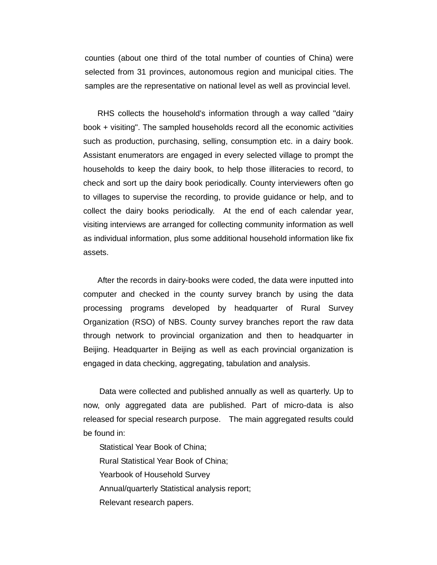counties (about one third of the total number of counties of China) were selected from 31 provinces, autonomous region and municipal cities. The samples are the representative on national level as well as provincial level.

 RHS collects the household's information through a way called "dairy book + visiting". The sampled households record all the economic activities such as production, purchasing, selling, consumption etc. in a dairy book. Assistant enumerators are engaged in every selected village to prompt the households to keep the dairy book, to help those illiteracies to record, to check and sort up the dairy book periodically. County interviewers often go to villages to supervise the recording, to provide guidance or help, and to collect the dairy books periodically. At the end of each calendar year, visiting interviews are arranged for collecting community information as well as individual information, plus some additional household information like fix assets.

 After the records in dairy-books were coded, the data were inputted into computer and checked in the county survey branch by using the data processing programs developed by headquarter of Rural Survey Organization (RSO) of NBS. County survey branches report the raw data through network to provincial organization and then to headquarter in Beijing. Headquarter in Beijing as well as each provincial organization is engaged in data checking, aggregating, tabulation and analysis.

 Data were collected and published annually as well as quarterly. Up to now, only aggregated data are published. Part of micro-data is also released for special research purpose. The main aggregated results could be found in:

 Statistical Year Book of China; Rural Statistical Year Book of China; Yearbook of Household Survey Annual/quarterly Statistical analysis report; Relevant research papers.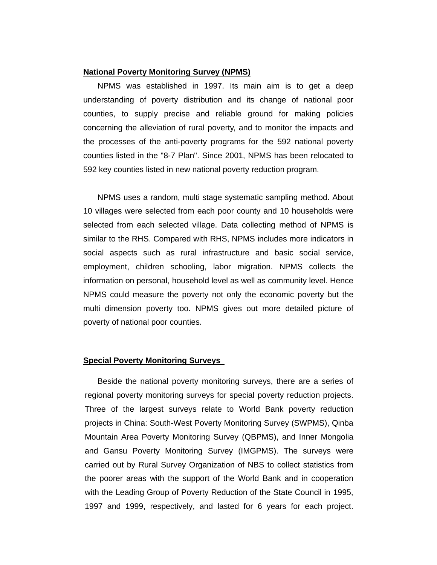### **National Poverty Monitoring Survey (NPMS)**

NPMS was established in 1997. Its main aim is to get a deep understanding of poverty distribution and its change of national poor counties, to supply precise and reliable ground for making policies concerning the alleviation of rural poverty, and to monitor the impacts and the processes of the anti-poverty programs for the 592 national poverty counties listed in the "8-7 Plan". Since 2001, NPMS has been relocated to 592 key counties listed in new national poverty reduction program.

 NPMS uses a random, multi stage systematic sampling method. About 10 villages were selected from each poor county and 10 households were selected from each selected village. Data collecting method of NPMS is similar to the RHS. Compared with RHS, NPMS includes more indicators in social aspects such as rural infrastructure and basic social service, employment, children schooling, labor migration. NPMS collects the information on personal, household level as well as community level. Hence NPMS could measure the poverty not only the economic poverty but the multi dimension poverty too. NPMS gives out more detailed picture of poverty of national poor counties.

#### **Special Poverty Monitoring Surveys**

Beside the national poverty monitoring surveys, there are a series of regional poverty monitoring surveys for special poverty reduction projects. Three of the largest surveys relate to World Bank poverty reduction projects in China: South-West Poverty Monitoring Survey (SWPMS), Qinba Mountain Area Poverty Monitoring Survey (QBPMS), and Inner Mongolia and Gansu Poverty Monitoring Survey (IMGPMS). The surveys were carried out by Rural Survey Organization of NBS to collect statistics from the poorer areas with the support of the World Bank and in cooperation with the Leading Group of Poverty Reduction of the State Council in 1995, 1997 and 1999, respectively, and lasted for 6 years for each project.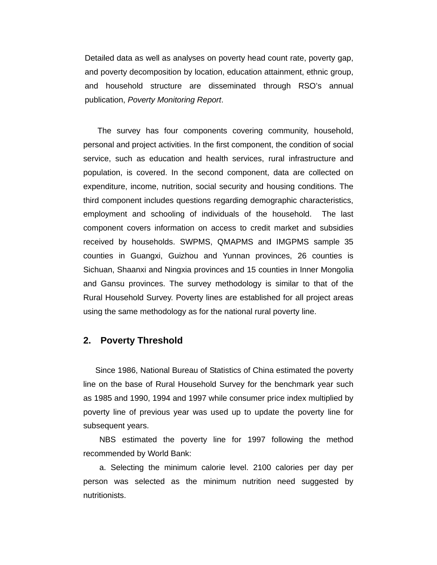Detailed data as well as analyses on poverty head count rate, poverty gap, and poverty decomposition by location, education attainment, ethnic group, and household structure are disseminated through RSO's annual publication, *Poverty Monitoring Report*.

The survey has four components covering community, household, personal and project activities. In the first component, the condition of social service, such as education and health services, rural infrastructure and population, is covered. In the second component, data are collected on expenditure, income, nutrition, social security and housing conditions. The third component includes questions regarding demographic characteristics, employment and schooling of individuals of the household. The last component covers information on access to credit market and subsidies received by households. SWPMS, QMAPMS and IMGPMS sample 35 counties in Guangxi, Guizhou and Yunnan provinces, 26 counties is Sichuan, Shaanxi and Ningxia provinces and 15 counties in Inner Mongolia and Gansu provinces. The survey methodology is similar to that of the Rural Household Survey. Poverty lines are established for all project areas using the same methodology as for the national rural poverty line.

### **2. Poverty Threshold**

 Since 1986, National Bureau of Statistics of China estimated the poverty line on the base of Rural Household Survey for the benchmark year such as 1985 and 1990, 1994 and 1997 while consumer price index multiplied by poverty line of previous year was used up to update the poverty line for subsequent years.

 NBS estimated the poverty line for 1997 following the method recommended by World Bank:

 a. Selecting the minimum calorie level. 2100 calories per day per person was selected as the minimum nutrition need suggested by nutritionists.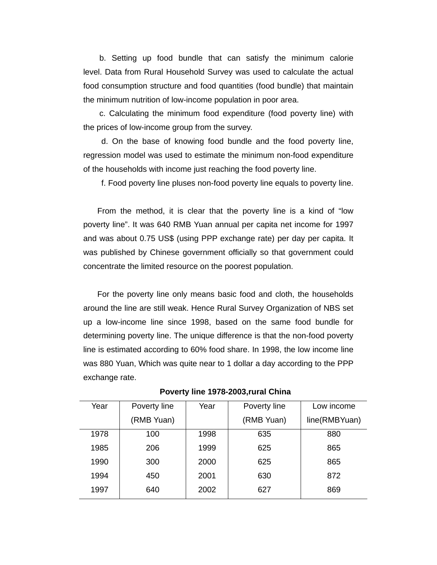b. Setting up food bundle that can satisfy the minimum calorie level. Data from Rural Household Survey was used to calculate the actual food consumption structure and food quantities (food bundle) that maintain the minimum nutrition of low-income population in poor area.

 c. Calculating the minimum food expenditure (food poverty line) with the prices of low-income group from the survey.

 d. On the base of knowing food bundle and the food poverty line, regression model was used to estimate the minimum non-food expenditure of the households with income just reaching the food poverty line.

f. Food poverty line pluses non-food poverty line equals to poverty line.

From the method, it is clear that the poverty line is a kind of "low poverty line". It was 640 RMB Yuan annual per capita net income for 1997 and was about 0.75 US\$ (using PPP exchange rate) per day per capita. It was published by Chinese government officially so that government could concentrate the limited resource on the poorest population.

For the poverty line only means basic food and cloth, the households around the line are still weak. Hence Rural Survey Organization of NBS set up a low-income line since 1998, based on the same food bundle for determining poverty line. The unique difference is that the non-food poverty line is estimated according to 60% food share. In 1998, the low income line was 880 Yuan, Which was quite near to 1 dollar a day according to the PPP exchange rate.

| Year | Poverty line | Year | Poverty line | Low income    |
|------|--------------|------|--------------|---------------|
|      | (RMB Yuan)   |      | (RMB Yuan)   | line(RMBYuan) |
| 1978 | 100          | 1998 | 635          | 880           |
| 1985 | 206          | 1999 | 625          | 865           |
| 1990 | 300          | 2000 | 625          | 865           |
| 1994 | 450          | 2001 | 630          | 872           |
| 1997 | 640          | 2002 | 627          | 869           |

**Poverty line 1978-2003,rural China**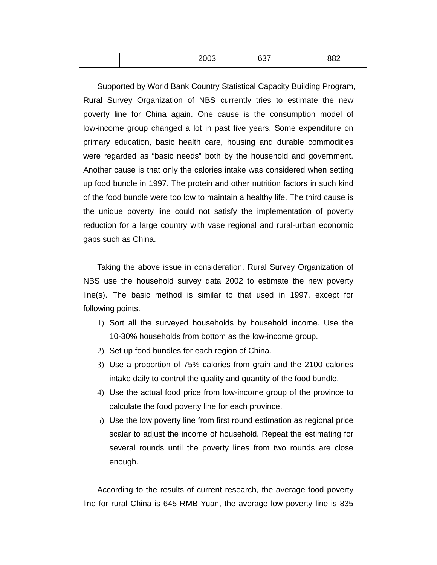|  | $\sim$ $\sim$ $\sim$<br>$\sim$ |  | . |  |
|--|--------------------------------|--|---|--|
|--|--------------------------------|--|---|--|

Supported by World Bank Country Statistical Capacity Building Program, Rural Survey Organization of NBS currently tries to estimate the new poverty line for China again. One cause is the consumption model of low-income group changed a lot in past five years. Some expenditure on primary education, basic health care, housing and durable commodities were regarded as "basic needs" both by the household and government. Another cause is that only the calories intake was considered when setting up food bundle in 1997. The protein and other nutrition factors in such kind of the food bundle were too low to maintain a healthy life. The third cause is the unique poverty line could not satisfy the implementation of poverty reduction for a large country with vase regional and rural-urban economic gaps such as China.

Taking the above issue in consideration, Rural Survey Organization of NBS use the household survey data 2002 to estimate the new poverty line(s). The basic method is similar to that used in 1997, except for following points.

- 1) Sort all the surveyed households by household income. Use the 10-30% households from bottom as the low-income group.
- 2) Set up food bundles for each region of China.
- 3) Use a proportion of 75% calories from grain and the 2100 calories intake daily to control the quality and quantity of the food bundle.
- 4) Use the actual food price from low-income group of the province to calculate the food poverty line for each province.
- 5) Use the low poverty line from first round estimation as regional price scalar to adjust the income of household. Repeat the estimating for several rounds until the poverty lines from two rounds are close enough.

According to the results of current research, the average food poverty line for rural China is 645 RMB Yuan, the average low poverty line is 835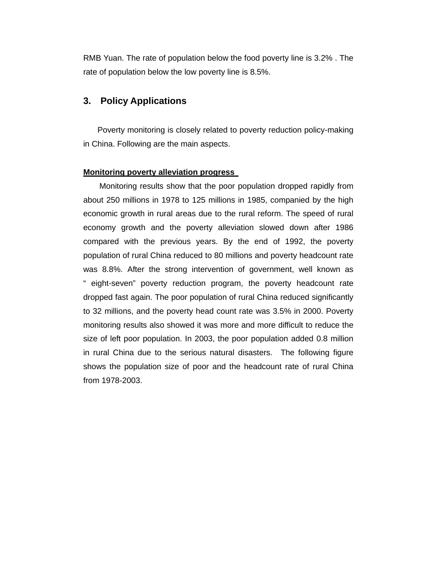RMB Yuan. The rate of population below the food poverty line is 3.2% . The rate of population below the low poverty line is 8.5%.

## **3. Policy Applications**

Poverty monitoring is closely related to poverty reduction policy-making in China. Following are the main aspects.

### **Monitoring poverty alleviation progress**

Monitoring results show that the poor population dropped rapidly from about 250 millions in 1978 to 125 millions in 1985, companied by the high economic growth in rural areas due to the rural reform. The speed of rural economy growth and the poverty alleviation slowed down after 1986 compared with the previous years. By the end of 1992, the poverty population of rural China reduced to 80 millions and poverty headcount rate was 8.8%. After the strong intervention of government, well known as " eight-seven" poverty reduction program, the poverty headcount rate dropped fast again. The poor population of rural China reduced significantly to 32 millions, and the poverty head count rate was 3.5% in 2000. Poverty monitoring results also showed it was more and more difficult to reduce the size of left poor population. In 2003, the poor population added 0.8 million in rural China due to the serious natural disasters. The following figure shows the population size of poor and the headcount rate of rural China from 1978-2003.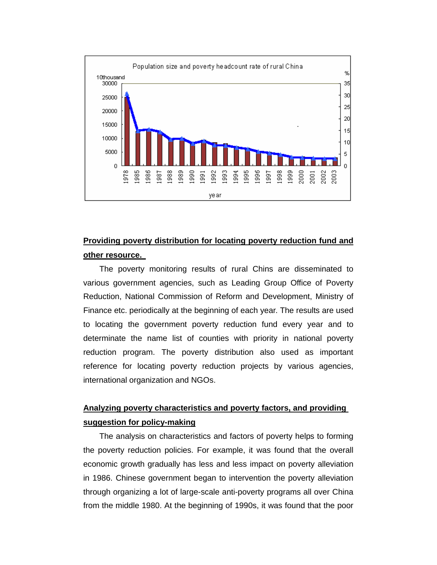

## **Providing poverty distribution for locating poverty reduction fund and other resource.**

The poverty monitoring results of rural Chins are disseminated to various government agencies, such as Leading Group Office of Poverty Reduction, National Commission of Reform and Development, Ministry of Finance etc. periodically at the beginning of each year. The results are used to locating the government poverty reduction fund every year and to determinate the name list of counties with priority in national poverty reduction program. The poverty distribution also used as important reference for locating poverty reduction projects by various agencies, international organization and NGOs.

## **Analyzing poverty characteristics and poverty factors, and providing suggestion for policy-making**

The analysis on characteristics and factors of poverty helps to forming the poverty reduction policies. For example, it was found that the overall economic growth gradually has less and less impact on poverty alleviation in 1986. Chinese government began to intervention the poverty alleviation through organizing a lot of large-scale anti-poverty programs all over China from the middle 1980. At the beginning of 1990s, it was found that the poor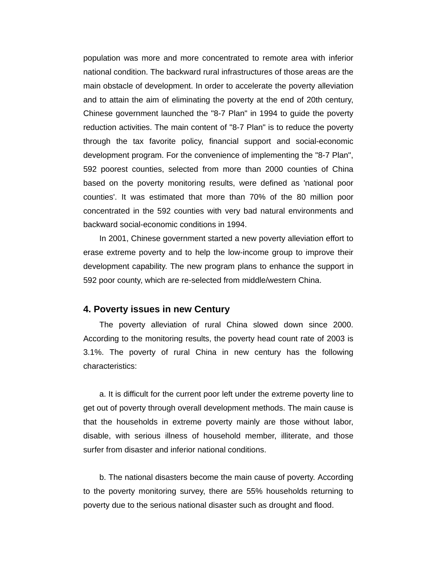population was more and more concentrated to remote area with inferior national condition. The backward rural infrastructures of those areas are the main obstacle of development. In order to accelerate the poverty alleviation and to attain the aim of eliminating the poverty at the end of 20th century, Chinese government launched the "8-7 Plan" in 1994 to guide the poverty reduction activities. The main content of "8-7 Plan" is to reduce the poverty through the tax favorite policy, financial support and social-economic development program. For the convenience of implementing the "8-7 Plan", 592 poorest counties, selected from more than 2000 counties of China based on the poverty monitoring results, were defined as 'national poor counties'. It was estimated that more than 70% of the 80 million poor concentrated in the 592 counties with very bad natural environments and backward social-economic conditions in 1994.

In 2001, Chinese government started a new poverty alleviation effort to erase extreme poverty and to help the low-income group to improve their development capability. The new program plans to enhance the support in 592 poor county, which are re-selected from middle/western China.

## **4. Poverty issues in new Century**

The poverty alleviation of rural China slowed down since 2000. According to the monitoring results, the poverty head count rate of 2003 is 3.1%. The poverty of rural China in new century has the following characteristics:

a. It is difficult for the current poor left under the extreme poverty line to get out of poverty through overall development methods. The main cause is that the households in extreme poverty mainly are those without labor, disable, with serious illness of household member, illiterate, and those surfer from disaster and inferior national conditions.

b. The national disasters become the main cause of poverty. According to the poverty monitoring survey, there are 55% households returning to poverty due to the serious national disaster such as drought and flood.